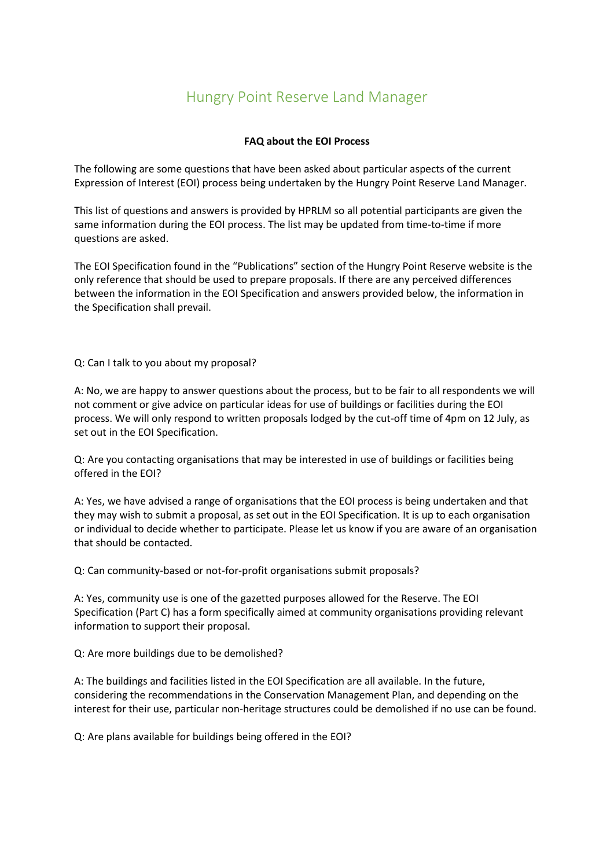## Hungry Point Reserve Land Manager

## **FAQ about the EOI Process**

The following are some questions that have been asked about particular aspects of the current Expression of Interest (EOI) process being undertaken by the Hungry Point Reserve Land Manager.

This list of questions and answers is provided by HPRLM so all potential participants are given the same information during the EOI process. The list may be updated from time-to-time if more questions are asked.

The EOI Specification found in the "Publications" section of the Hungry Point Reserve website is the only reference that should be used to prepare proposals. If there are any perceived differences between the information in the EOI Specification and answers provided below, the information in the Specification shall prevail.

Q: Can I talk to you about my proposal?

A: No, we are happy to answer questions about the process, but to be fair to all respondents we will not comment or give advice on particular ideas for use of buildings or facilities during the EOI process. We will only respond to written proposals lodged by the cut-off time of 4pm on 12 July, as set out in the EOI Specification.

Q: Are you contacting organisations that may be interested in use of buildings or facilities being offered in the EOI?

A: Yes, we have advised a range of organisations that the EOI process is being undertaken and that they may wish to submit a proposal, as set out in the EOI Specification. It is up to each organisation or individual to decide whether to participate. Please let us know if you are aware of an organisation that should be contacted.

Q: Can community-based or not-for-profit organisations submit proposals?

A: Yes, community use is one of the gazetted purposes allowed for the Reserve. The EOI Specification (Part C) has a form specifically aimed at community organisations providing relevant information to support their proposal.

Q: Are more buildings due to be demolished?

A: The buildings and facilities listed in the EOI Specification are all available. In the future, considering the recommendations in the Conservation Management Plan, and depending on the interest for their use, particular non-heritage structures could be demolished if no use can be found.

Q: Are plans available for buildings being offered in the EOI?